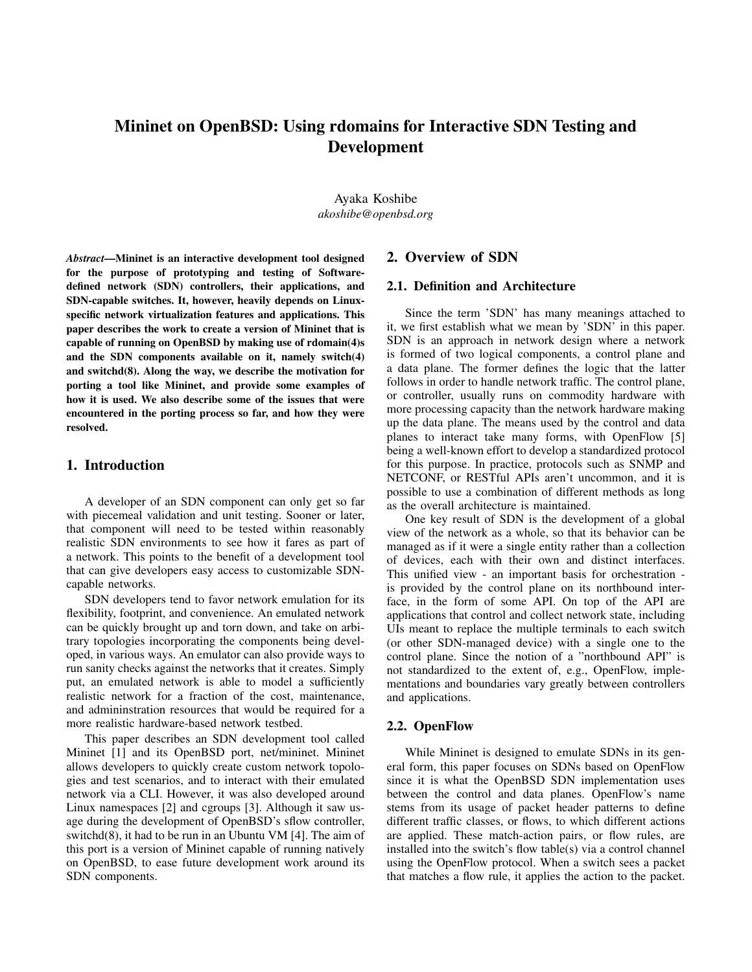# Mininet on OpenBSD: Using rdomains for Interactive SDN Testing and Development

Ayaka Koshibe *akoshibe@openbsd.org*

*Abstract*—Mininet is an interactive development tool designed for the purpose of prototyping and testing of Softwaredefined network (SDN) controllers, their applications, and SDN-capable switches. It, however, heavily depends on Linuxspecific network virtualization features and applications. This paper describes the work to create a version of Mininet that is capable of running on OpenBSD by making use of rdomain(4)s and the SDN components available on it, namely switch(4) and switchd(8). Along the way, we describe the motivation for porting a tool like Mininet, and provide some examples of how it is used. We also describe some of the issues that were encountered in the porting process so far, and how they were resolved.

## 1. Introduction

A developer of an SDN component can only get so far with piecemeal validation and unit testing. Sooner or later, that component will need to be tested within reasonably realistic SDN environments to see how it fares as part of a network. This points to the benefit of a development tool that can give developers easy access to customizable SDNcapable networks.

SDN developers tend to favor network emulation for its flexibility, footprint, and convenience. An emulated network can be quickly brought up and torn down, and take on arbitrary topologies incorporating the components being developed, in various ways. An emulator can also provide ways to run sanity checks against the networks that it creates. Simply put, an emulated network is able to model a sufficiently realistic network for a fraction of the cost, maintenance, and admininstration resources that would be required for a more realistic hardware-based network testbed.

This paper describes an SDN development tool called Mininet [1] and its OpenBSD port, net/mininet. Mininet allows developers to quickly create custom network topologies and test scenarios, and to interact with their emulated network via a CLI. However, it was also developed around Linux namespaces [2] and cgroups [3]. Although it saw usage during the development of OpenBSD's sflow controller, switchd(8), it had to be run in an Ubuntu VM [4]. The aim of this port is a version of Mininet capable of running natively on OpenBSD, to ease future development work around its SDN components.

## 2. Overview of SDN

## 2.1. Definition and Architecture

Since the term 'SDN' has many meanings attached to it, we first establish what we mean by 'SDN' in this paper. SDN is an approach in network design where a network is formed of two logical components, a control plane and a data plane. The former defines the logic that the latter follows in order to handle network traffic. The control plane, or controller, usually runs on commodity hardware with more processing capacity than the network hardware making up the data plane. The means used by the control and data planes to interact take many forms, with OpenFlow [5] being a well-known effort to develop a standardized protocol for this purpose. In practice, protocols such as SNMP and NETCONF, or RESTful APIs aren't uncommon, and it is possible to use a combination of different methods as long as the overall architecture is maintained.

One key result of SDN is the development of a global view of the network as a whole, so that its behavior can be managed as if it were a single entity rather than a collection of devices, each with their own and distinct interfaces. This unified view - an important basis for orchestration is provided by the control plane on its northbound interface, in the form of some API. On top of the API are applications that control and collect network state, including UIs meant to replace the multiple terminals to each switch (or other SDN-managed device) with a single one to the control plane. Since the notion of a "northbound API" is not standardized to the extent of, e.g., OpenFlow, implementations and boundaries vary greatly between controllers and applications.

#### 2.2. OpenFlow

While Mininet is designed to emulate SDNs in its general form, this paper focuses on SDNs based on OpenFlow since it is what the OpenBSD SDN implementation uses between the control and data planes. OpenFlow's name stems from its usage of packet header patterns to define different traffic classes, or flows, to which different actions are applied. These match-action pairs, or flow rules, are installed into the switch's flow table(s) via a control channel using the OpenFlow protocol. When a switch sees a packet that matches a flow rule, it applies the action to the packet.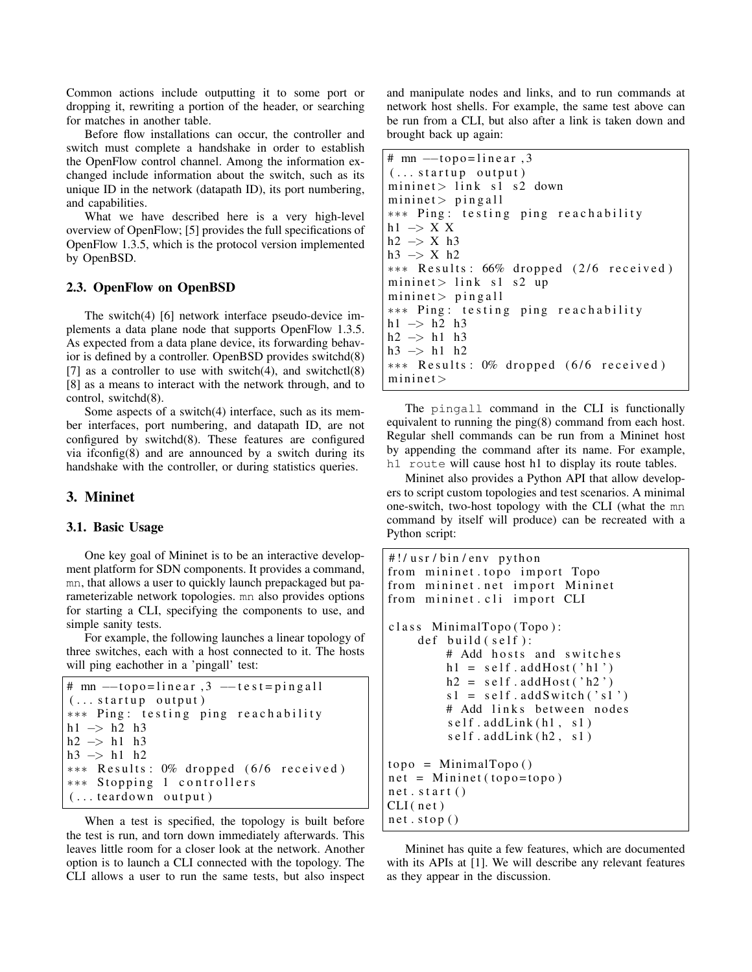Common actions include outputting it to some port or dropping it, rewriting a portion of the header, or searching for matches in another table.

Before flow installations can occur, the controller and switch must complete a handshake in order to establish the OpenFlow control channel. Among the information exchanged include information about the switch, such as its unique ID in the network (datapath ID), its port numbering, and capabilities.

What we have described here is a very high-level overview of OpenFlow; [5] provides the full specifications of OpenFlow 1.3.5, which is the protocol version implemented by OpenBSD.

## 2.3. OpenFlow on OpenBSD

The switch(4) [6] network interface pseudo-device implements a data plane node that supports OpenFlow 1.3.5. As expected from a data plane device, its forwarding behavior is defined by a controller. OpenBSD provides switchd(8) [7] as a controller to use with switch $(4)$ , and switchct $(8)$ [8] as a means to interact with the network through, and to control, switchd(8).

Some aspects of a switch(4) interface, such as its member interfaces, port numbering, and datapath ID, are not configured by switchd(8). These features are configured via ifconfig(8) and are announced by a switch during its handshake with the controller, or during statistics queries.

## 3. Mininet

#### 3.1. Basic Usage

One key goal of Mininet is to be an interactive development platform for SDN components. It provides a command, mn, that allows a user to quickly launch prepackaged but parameterizable network topologies. mn also provides options for starting a CLI, specifying the components to use, and simple sanity tests.

For example, the following launches a linear topology of three switches, each with a host connected to it. The hosts will ping eachother in a 'pingall' test:

```
# \text{mn} --topo=linear, 3 --test=pingall
( \ldots startup output)
∗∗∗ Pi n g : t e s t i n g pi n g r e a c h a b i l i t y
h1 \rightarrow h2 h3
h2 \rightarrow h1 h3
h3 \rightarrow h1 h2
∗∗∗ R e s u l t s : 0% d r o p p e d ( 6 / 6 r e c e i v e d )
∗∗∗ St o p pi n g 1 c o n t r o l l e r s
(\ldots teardown output)
```
When a test is specified, the topology is built before the test is run, and torn down immediately afterwards. This leaves little room for a closer look at the network. Another option is to launch a CLI connected with the topology. The CLI allows a user to run the same tests, but also inspect and manipulate nodes and links, and to run commands at network host shells. For example, the same test above can be run from a CLI, but also after a link is taken down and brought back up again:

```
# \text{mn} --topo=linear, 3
( \ldots startup output)
mininet > \text{link } \text{s1 } \text{s2 down}mininet > pin gall∗∗∗ Pi n g : t e s t i n g pi n g r e a c h a b i l i t y
h1 \rightarrow X X
h2 \implies X h3h3 −> X h2
∗∗∗ R e s u l t s : 66% d r o p p e d ( 2 / 6 r e c e i v e d )
mininet > link s1 s2 up
mininet > pin gall∗∗∗ Pi n g : t e s t i n g pi n g r e a c h a b i l i t y
h1 \rightarrow h2 h3
h2 −> h1 h3
h3 −> h1 h2
∗∗∗ R e s u l t s : 0% d r o p p e d ( 6 / 6 r e c e i v e d )
minine t >
```
The pingall command in the CLI is functionally equivalent to running the ping(8) command from each host. Regular shell commands can be run from a Mininet host by appending the command after its name. For example, h1 route will cause host h1 to display its route tables.

Mininet also provides a Python API that allow developers to script custom topologies and test scenarios. A minimal one-switch, two-host topology with the CLI (what the mn command by itself will produce) can be recreated with a Python script:

```
#!/usr/bin/env python
from mininet . topo import Topo
from mininet.net import Mininet
from mininet.cli import CLI
class MinimalTopo (Topo):
    def build (self):
        # Add hosts and switches
        h1 = self.addHost('h1')h2 = \text{self}.addHost('h2')s1 = self.addSwitch('s1')# Add links between nodes
        self.addLink(h1, s1)self.addLink(h2, s1)topo = \text{MinimalTopo}()net = Mininet(topo = topo)net . start()CLI (net)
net . stop()
```
Mininet has quite a few features, which are documented with its APIs at [1]. We will describe any relevant features as they appear in the discussion.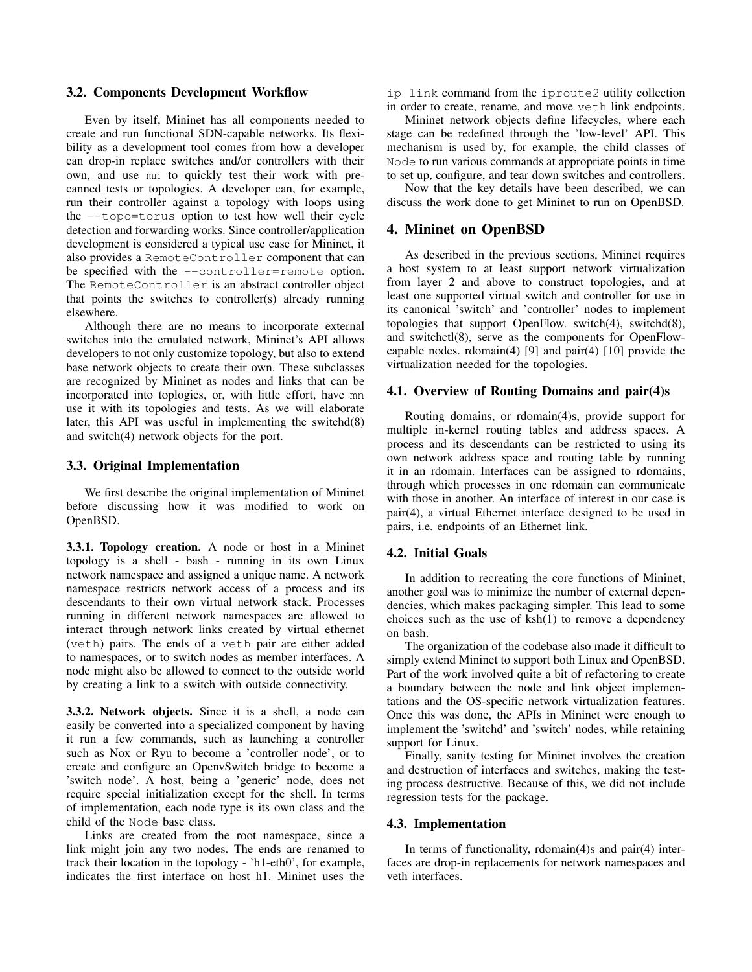#### 3.2. Components Development Workflow

Even by itself, Mininet has all components needed to create and run functional SDN-capable networks. Its flexibility as a development tool comes from how a developer can drop-in replace switches and/or controllers with their own, and use mn to quickly test their work with precanned tests or topologies. A developer can, for example, run their controller against a topology with loops using the --topo=torus option to test how well their cycle detection and forwarding works. Since controller/application development is considered a typical use case for Mininet, it also provides a RemoteController component that can be specified with the --controller=remote option. The RemoteController is an abstract controller object that points the switches to controller(s) already running elsewhere.

Although there are no means to incorporate external switches into the emulated network, Mininet's API allows developers to not only customize topology, but also to extend base network objects to create their own. These subclasses are recognized by Mininet as nodes and links that can be incorporated into toplogies, or, with little effort, have mn use it with its topologies and tests. As we will elaborate later, this API was useful in implementing the switchd(8) and switch(4) network objects for the port.

#### 3.3. Original Implementation

We first describe the original implementation of Mininet before discussing how it was modified to work on OpenBSD.

3.3.1. Topology creation. A node or host in a Mininet topology is a shell - bash - running in its own Linux network namespace and assigned a unique name. A network namespace restricts network access of a process and its descendants to their own virtual network stack. Processes running in different network namespaces are allowed to interact through network links created by virtual ethernet (veth) pairs. The ends of a veth pair are either added to namespaces, or to switch nodes as member interfaces. A node might also be allowed to connect to the outside world by creating a link to a switch with outside connectivity.

3.3.2. Network objects. Since it is a shell, a node can easily be converted into a specialized component by having it run a few commands, such as launching a controller such as Nox or Ryu to become a 'controller node', or to create and configure an OpenvSwitch bridge to become a 'switch node'. A host, being a 'generic' node, does not require special initialization except for the shell. In terms of implementation, each node type is its own class and the child of the Node base class.

Links are created from the root namespace, since a link might join any two nodes. The ends are renamed to track their location in the topology - 'h1-eth0', for example, indicates the first interface on host h1. Mininet uses the

ip link command from the iproute2 utility collection in order to create, rename, and move veth link endpoints.

Mininet network objects define lifecycles, where each stage can be redefined through the 'low-level' API. This mechanism is used by, for example, the child classes of Node to run various commands at appropriate points in time to set up, configure, and tear down switches and controllers.

Now that the key details have been described, we can discuss the work done to get Mininet to run on OpenBSD.

### 4. Mininet on OpenBSD

As described in the previous sections, Mininet requires a host system to at least support network virtualization from layer 2 and above to construct topologies, and at least one supported virtual switch and controller for use in its canonical 'switch' and 'controller' nodes to implement topologies that support OpenFlow. switch(4), switchd(8), and switchctl(8), serve as the components for OpenFlowcapable nodes. rdomain(4) [9] and pair(4) [10] provide the virtualization needed for the topologies.

#### 4.1. Overview of Routing Domains and pair(4)s

Routing domains, or rdomain(4)s, provide support for multiple in-kernel routing tables and address spaces. A process and its descendants can be restricted to using its own network address space and routing table by running it in an rdomain. Interfaces can be assigned to rdomains, through which processes in one rdomain can communicate with those in another. An interface of interest in our case is pair(4), a virtual Ethernet interface designed to be used in pairs, i.e. endpoints of an Ethernet link.

#### 4.2. Initial Goals

In addition to recreating the core functions of Mininet, another goal was to minimize the number of external dependencies, which makes packaging simpler. This lead to some choices such as the use of  $ksh(1)$  to remove a dependency on bash.

The organization of the codebase also made it difficult to simply extend Mininet to support both Linux and OpenBSD. Part of the work involved quite a bit of refactoring to create a boundary between the node and link object implementations and the OS-specific network virtualization features. Once this was done, the APIs in Mininet were enough to implement the 'switchd' and 'switch' nodes, while retaining support for Linux.

Finally, sanity testing for Mininet involves the creation and destruction of interfaces and switches, making the testing process destructive. Because of this, we did not include regression tests for the package.

#### 4.3. Implementation

In terms of functionality, rdomain(4)s and pair(4) interfaces are drop-in replacements for network namespaces and veth interfaces.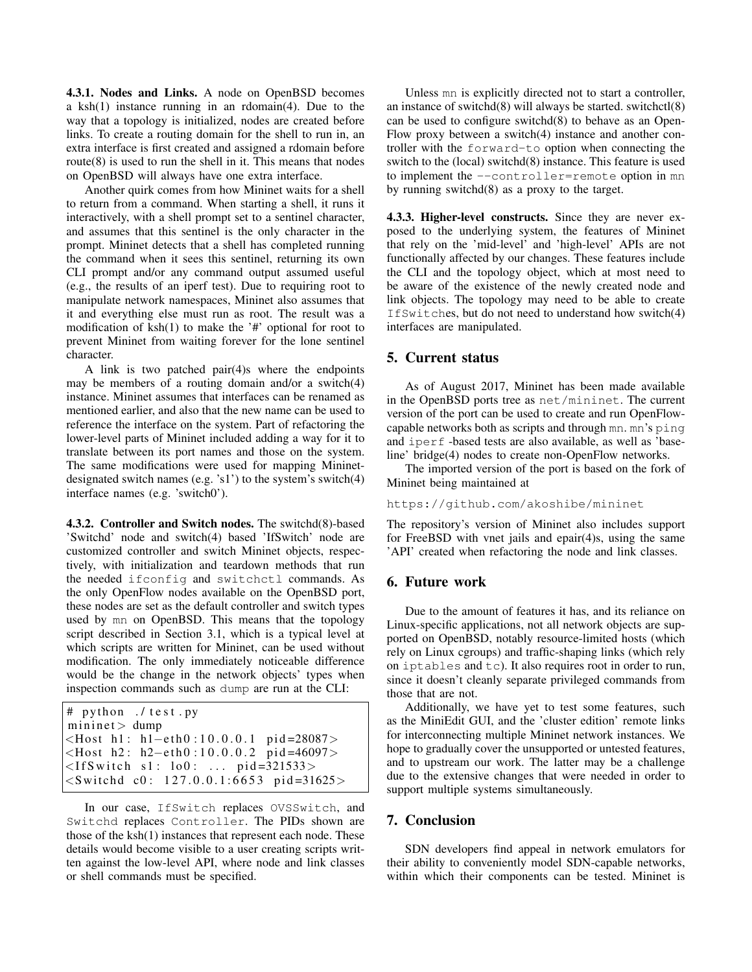4.3.1. Nodes and Links. A node on OpenBSD becomes a ksh(1) instance running in an rdomain(4). Due to the way that a topology is initialized, nodes are created before links. To create a routing domain for the shell to run in, an extra interface is first created and assigned a rdomain before route $(8)$  is used to run the shell in it. This means that nodes on OpenBSD will always have one extra interface.

Another quirk comes from how Mininet waits for a shell to return from a command. When starting a shell, it runs it interactively, with a shell prompt set to a sentinel character, and assumes that this sentinel is the only character in the prompt. Mininet detects that a shell has completed running the command when it sees this sentinel, returning its own CLI prompt and/or any command output assumed useful (e.g., the results of an iperf test). Due to requiring root to manipulate network namespaces, Mininet also assumes that it and everything else must run as root. The result was a modification of  $ksh(1)$  to make the '#' optional for root to prevent Mininet from waiting forever for the lone sentinel character.

A link is two patched pair(4)s where the endpoints may be members of a routing domain and/or a switch(4) instance. Mininet assumes that interfaces can be renamed as mentioned earlier, and also that the new name can be used to reference the interface on the system. Part of refactoring the lower-level parts of Mininet included adding a way for it to translate between its port names and those on the system. The same modifications were used for mapping Mininetdesignated switch names (e.g. 's1') to the system's switch(4) interface names (e.g. 'switch0').

4.3.2. Controller and Switch nodes. The switchd(8)-based 'Switchd' node and switch(4) based 'IfSwitch' node are customized controller and switch Mininet objects, respectively, with initialization and teardown methods that run the needed ifconfig and switchctl commands. As the only OpenFlow nodes available on the OpenBSD port, these nodes are set as the default controller and switch types used by mn on OpenBSD. This means that the topology script described in Section 3.1, which is a typical level at which scripts are written for Mininet, can be used without modification. The only immediately noticeable difference would be the change in the network objects' types when inspection commands such as dump are run at the CLI:

```
# python ./ test.py
mininet > dump
<Host h1: h1-eth0:10.0.0.1 pid=28087>
<Host h2: h2-eth0:10.0.0.2 pid=46097>
<IfSwitch s1: lo0: ... pid=321533>
<Switchd c0: 127.0.0.1:6653 pid=31625>
```
In our case, IfSwitch replaces OVSSwitch, and Switchd replaces Controller. The PIDs shown are those of the ksh(1) instances that represent each node. These details would become visible to a user creating scripts written against the low-level API, where node and link classes or shell commands must be specified.

Unless mn is explicitly directed not to start a controller, an instance of switchd $(8)$  will always be started. switchctl $(8)$ can be used to configure switchd(8) to behave as an Open-Flow proxy between a switch(4) instance and another controller with the forward-to option when connecting the switch to the (local) switchd(8) instance. This feature is used to implement the --controller=remote option in mn by running switchd(8) as a proxy to the target.

4.3.3. Higher-level constructs. Since they are never exposed to the underlying system, the features of Mininet that rely on the 'mid-level' and 'high-level' APIs are not functionally affected by our changes. These features include the CLI and the topology object, which at most need to be aware of the existence of the newly created node and link objects. The topology may need to be able to create IfSwitches, but do not need to understand how switch(4) interfaces are manipulated.

# 5. Current status

As of August 2017, Mininet has been made available in the OpenBSD ports tree as net/mininet. The current version of the port can be used to create and run OpenFlowcapable networks both as scripts and through mn. mn's ping and iperf -based tests are also available, as well as 'baseline' bridge(4) nodes to create non-OpenFlow networks.

The imported version of the port is based on the fork of Mininet being maintained at

#### https://github.com/akoshibe/mininet

The repository's version of Mininet also includes support for FreeBSD with vnet jails and epair(4)s, using the same 'API' created when refactoring the node and link classes.

## 6. Future work

Due to the amount of features it has, and its reliance on Linux-specific applications, not all network objects are supported on OpenBSD, notably resource-limited hosts (which rely on Linux cgroups) and traffic-shaping links (which rely on iptables and tc). It also requires root in order to run, since it doesn't cleanly separate privileged commands from those that are not.

Additionally, we have yet to test some features, such as the MiniEdit GUI, and the 'cluster edition' remote links for interconnecting multiple Mininet network instances. We hope to gradually cover the unsupported or untested features, and to upstream our work. The latter may be a challenge due to the extensive changes that were needed in order to support multiple systems simultaneously.

# 7. Conclusion

SDN developers find appeal in network emulators for their ability to conveniently model SDN-capable networks, within which their components can be tested. Mininet is